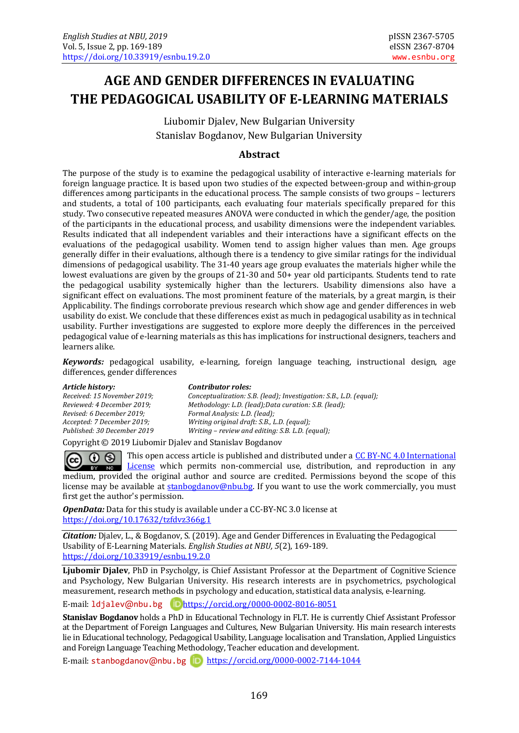# **AGE AND GENDER DIFFERENCES IN EVALUATING THE PEDAGOGICAL USABILITY OF E-LEARNING MATERIALS**

Liubomir Djalev, New Bulgarian University Stanislav Bogdanov, New Bulgarian University

#### **Abstract**

The purpose of the study is to examine the pedagogical usability of interactive e-learning materials for foreign language practice. It is based upon two studies of the expected between-group and within-group differences among participants in the educational process. The sample consists of two groups – lecturers and students, a total of 100 participants, each evaluating four materials specifically prepared for this study. Two consecutive repeated measures ANOVA were conducted in which the gender/age, the position of the participants in the educational process, and usability dimensions were the independent variables. Results indicated that all independent variables and their interactions have a significant effects on the evaluations of the pedagogical usability. Women tend to assign higher values than men. Аge groups generally differ in their evaluations, although there is a tendency to give similar ratings for the individual dimensions of pedagogical usability. The 31-40 years age group evaluates the materials higher while the lowest evaluations are given by the groups of 21-30 and 50+ year old participants. Students tend to rate the pedagogical usability systemically higher than the lecturers. Usability dimensions also have a significant effect on evaluations. The most prominent feature of the materials, by a great margin, is their Applicability. The findings corroborate previous research which show age and gender differences in web usability do exist. We conclude that these differences exist as much in pedagogical usability as in technical usability. Further investigations are suggested to explore more deeply the differences in the perceived pedagogical value of e-learning materials as this has implications for instructional designers, teachers and learners alike.

*Keywords:* pedagogical usability, e-learning, foreign language teaching, instructional design, age differences, gender differences

*Revised: 6 December 2019; Formal Analysis: L.D. (lead);*

*Article history: Contributor roles: Received: 15 November 2019; Conceptualization: S.B. (lead); Investigation: S.B., L.D. (equal); Reviewed: 4 December 2019; Methodology: L.D. (lead); Data curation: S.B. (lead); Revised: 6 December 2019; Formal Analysis: L.D. (lead); Writing original draft: S.B., L.D. (equal); Published: 30 December 2019 Writing – review and editing: S.B. L.D. (equal);*

Copyright © 2019 Liubomir Djalev and Stanislav Bogdanov

This open access article is published and distributed under a CC BY-NC 4.0 International <u>ൈ</u>  $(cc)$ **EXECUTE:** No [License](http://creativecommons.org/licenses/by-nc/4.0/) which permits non-commercial use, distribution, and reproduction in any medium, provided the original author and source are credited. Permissions beyond the scope of this license may be available at [stanbogdanov@nbu.bg.](mailto:stanbogdanov@nbu.bg) If you want to use the work commercially, you must first get the author's permission.

*OpenData:* Data for this study is available under a CC-BY-NC 3.0 license at <https://doi.org/10.17632/tzfdvz366g.1>

*Citation:* Djalev, L., & Bogdanov, S. (2019). Age and Gender Differences in Evaluating the Pedagogical Usability of E-Learning Materials*. English Studies at NBU, 5*(2), 169-189. <https://doi.org/10.33919/esnbu.19.2.0>

**Ljubomir Djalev**, PhD in Psycholgy, is Chief Assistant Professor at the Department of Cognitive Science and Psychology, New Bulgarian University. His research interests are in psychometrics, psychological measurement, research methods in psychology and education, statistical data analysis, e-learning.

E-mail: [ldjalev](mailto:ldjalev@nbu.bg)@nbu.bg <https://orcid.org/0000-0002-8016-8051>

**Stanislav Bogdanov** holds a PhD in Educational Technology in FLT. He is currently Chief Assistant Professor at the Department of Foreign Languages and Cultures, New Bulgarian University. His main research interests lie in Educational technology, Pedagogical Usability, Language localisation and Translation, Applied Linguistics and Foreign Language Teaching Methodology, Teacher education and development.

E-mail: [stanbogdanov](mailto:stanbogdanov@nbu.bg)@nbu.bg D <https://orcid.org/0000-0002-7144-1044>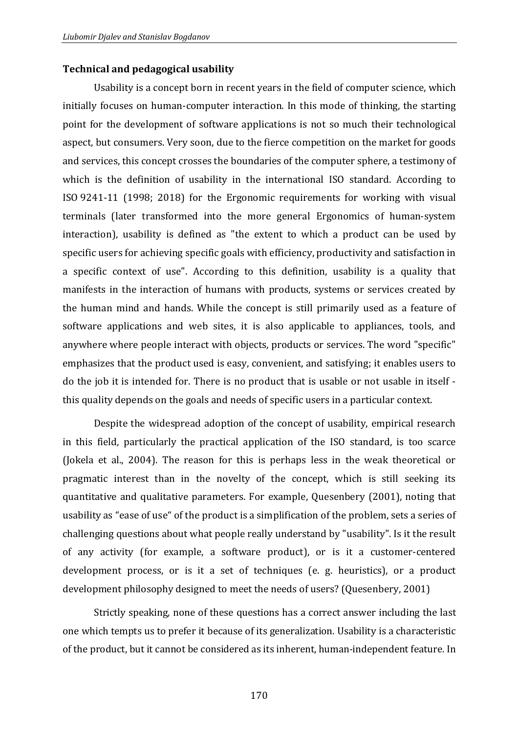#### **Technical and pedagogical usability**

Usability is a concept born in recent years in the field of computer science, which initially focuses on human-computer interaction. In this mode of thinking, the starting point for the development of software applications is not so much their technological aspect, but consumers. Very soon, due to the fierce competition on the market for goods and services, this concept crosses the boundaries of the computer sphere, a testimony of which is the definition of usability in the international ISO standard. According to ISO 9241-11 (1998; 2018) for the Ergonomic requirements for working with visual terminals (later transformed into the more general Ergonomics of human-system interaction), usability is defined as "the extent to which a product can be used by specific users for achieving specific goals with efficiency, productivity and satisfaction in a specific context of use". According to this definition, usability is a quality that manifests in the interaction of humans with products, systems or services created by the human mind and hands. While the concept is still primarily used as a feature of software applications and web sites, it is also applicable to appliances, tools, and anywhere where people interact with objects, products or services. The word "specific" emphasizes that the product used is easy, convenient, and satisfying; it enables users to do the job it is intended for. There is no product that is usable or not usable in itself this quality depends on the goals and needs of specific users in a particular context.

Despite the widespread adoption of the concept of usability, empirical research in this field, particularly the practical application of the ISO standard, is too scarce (Jokela et al., 2004). The reason for this is perhaps less in the weak theoretical or pragmatic interest than in the novelty of the concept, which is still seeking its quantitative and qualitative parameters. For example, Quesenbery (2001), noting that usability as "ease of use" of the product is a simplification of the problem, sets a series of challenging questions about what people really understand by "usability". Is it the result of any activity (for example, a software product), or is it a customer-centered development process, or is it a set of techniques (e. g. heuristics), or a product development philosophy designed to meet the needs of users? (Quesenbery, 2001)

Strictly speaking, none of these questions has a correct answer including the last one which tempts us to prefer it because of its generalization. Usability is a characteristic of the product, but it cannot be considered as its inherent, human-independent feature. In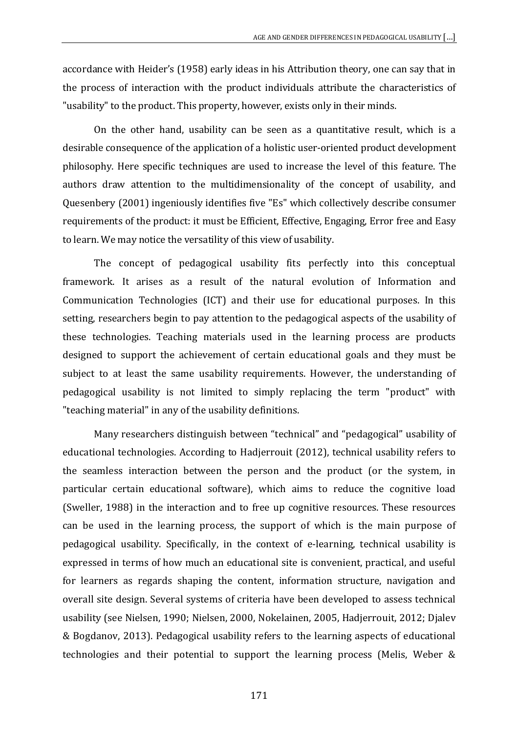accordance with Heider's (1958) early ideas in his Attribution theory, one can say that in the process of interaction with the product individuals attribute the characteristics of "usability" to the product. This property, however, exists only in their minds.

On the other hand, usability can be seen as a quantitative result, which is a desirable consequence of the application of a holistic user-oriented product development philosophy. Here specific techniques are used to increase the level of this feature. The authors draw attention to the multidimensionality of the concept of usability, and Quesenbery (2001) ingeniously identifies five "Es" which collectively describe consumer requirements of the product: it must be Efficient, Effective, Engaging, Error free and Easy to learn. We may notice the versatility of this view of usability.

The concept of pedagogical usability fits perfectly into this conceptual framework. It arises as a result of the natural evolution of Information and Communication Technologies (ICT) and their use for educational purposes. In this setting, researchers begin to pay attention to the pedagogical aspects of the usability of these technologies. Teaching materials used in the learning process are products designed to support the achievement of certain educational goals and they must be subject to at least the same usability requirements. However, the understanding of pedagogical usability is not limited to simply replacing the term "product" with "teaching material" in any of the usability definitions.

Many researchers distinguish between "technical" and "pedagogical" usability of educational technologies. According to Hadjerrouit (2012), technical usability refers to the seamless interaction between the person and the product (or the system, in particular certain educational software), which aims to reduce the cognitive load (Sweller, 1988) in the interaction and to free up cognitive resources. These resources can be used in the learning process, the support of which is the main purpose of pedagogical usability. Specifically, in the context of e-learning, technical usability is expressed in terms of how much an educational site is convenient, practical, and useful for learners as regards shaping the content, information structure, navigation and overall site design. Several systems of criteria have been developed to assess technical usability (see Nielsen, 1990; Nielsen, 2000, Nokelainen, 2005, Hadjerrouit, 2012; Djalev & Bogdanov, 2013). Pedagogical usability refers to the learning aspects of educational technologies and their potential to support the learning process (Melis, Weber &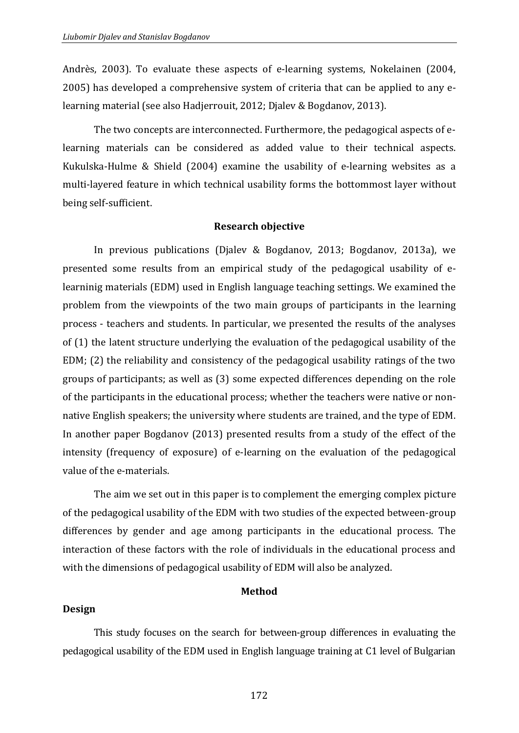Andrès, 2003). To evaluate these aspects of e-learning systems, Nokelainen (2004, 2005) has developed a comprehensive system of criteria that can be applied to any elearning material (see also Hadjerrouit, 2012; Djalev & Bogdanov, 2013).

The two concepts are interconnected. Furthermore, the pedagogical aspects of elearning materials can be considered as added value to their technical aspects. Kukulska-Hulme & Shield (2004) examine the usability of e-learning websites as a multi-layered feature in which technical usability forms the bottommost layer without being self-sufficient.

#### **Research objective**

In previous publications (Djalev & Bogdanov, 2013; Bogdanov, 2013a), we presented some results from an empirical study of the pedagogical usability of elearninig materials (EDM) used in English language teaching settings. We examined the problem from the viewpoints of the two main groups of participants in the learning process - teachers and students. In particular, we presented the results of the analyses of (1) the latent structure underlying the evaluation of the pedagogical usability of the EDM; (2) the reliability and consistency of the pedagogical usability ratings of the two groups of participants; as well as (3) some expected differences depending on the role of the participants in the educational process; whether the teachers were native or nonnative English speakers; the university where students are trained, and the type of EDM. In another paper Bogdanov (2013) presented results from a study of the effect of the intensity (frequency of exposure) of e-learning on the evaluation of the pedagogical value of the e-materials.

The aim we set out in this paper is to complement the emerging complex picture of the pedagogical usability of the EDM with two studies of the expected between-group differences by gender and age among participants in the educational process. The interaction of these factors with the role of individuals in the educational process and with the dimensions of pedagogical usability of EDM will also be analyzed.

#### **Method**

### **Design**

This study focuses on the search for between-group differences in evaluating the pedagogical usability of the EDM used in English language training at C1 level of Bulgarian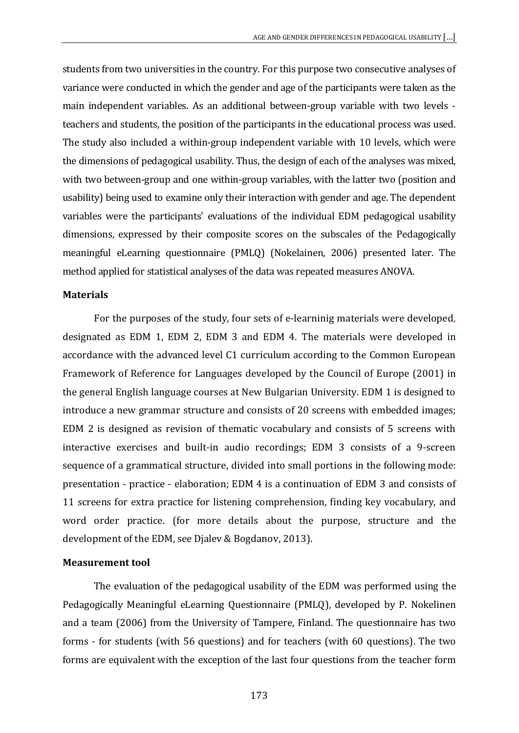students from two universities in the country. For this purpose two consecutive analyses of variance were conducted in which the gender and age of the participants were taken as the main independent variables. As an additional between-group variable with two levels teachers and students, the position of the participants in the educational process was used. The study also included a within-group independent variable with 10 levels, which were the dimensions of pedagogical usability. Thus, the design of each of the analyses was mixed, with two between-group and one within-group variables, with the latter two (position and usability) being used to examine only their interaction with gender and age. The dependent variables were the participants' evaluations of the individual EDM pedagogical usability dimensions, expressed by their composite scores on the subscales of the Pedagogically meaningful eLearning questionnaire (PMLQ) (Nokelainen, 2006) presented later. The method applied for statistical analyses of the data was repeated measures ANOVA.

#### **Materials**

For the purposes of the study, four sets of e-learninig materials were developed, designated as EDM 1, EDM 2, EDM 3 and EDM 4. The materials were developed in accordance with the advanced level C1 curriculum according to the Common European Framework of Reference for Languages developed by the Council of Europe (2001) in the general English language courses at New Bulgarian University. EDM 1 is designed to introduce a new grammar structure and consists of 20 screens with embedded images; EDM 2 is designed as revision of thematic vocabulary and consists of 5 screens with interactive exercises and built-in audio recordings; EDM 3 consists of a 9-screen sequence of a grammatical structure, divided into small portions in the following mode: presentation - practice - elaboration; EDM 4 is a continuation of EDM 3 and consists of 11 screens for extra practice for listening comprehension, finding key vocabulary, and word order practice. (for more details about the purpose, structure and the development of the EDM, see Djalev & Bogdanov, 2013).

#### **Measurement tool**

The evaluation of the pedagogical usability of the EDM was performed using the Pedagogically Meaningful eLearning Questionnaire (PMLQ), developed by P. Nokelinen and a team (2006) from the University of Tampere, Finland. The questionnaire has two forms - for students (with 56 questions) and for teachers (with 60 questions). The two forms are equivalent with the exception of the last four questions from the teacher form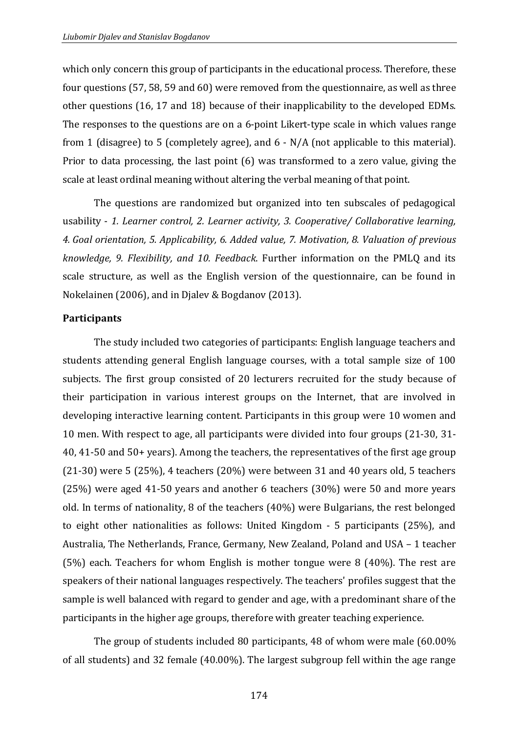which only concern this group of participants in the educational process. Therefore, these four questions (57, 58, 59 and 60) were removed from the questionnaire, as well as three other questions (16, 17 and 18) because of their inapplicability to the developed EDMs. The responses to the questions are on a 6-point Likert-type scale in which values range from 1 (disagree) to 5 (completely agree), and 6 - N/A (not applicable to this material). Prior to data processing, the last point (6) was transformed to a zero value, giving the scale at least ordinal meaning without altering the verbal meaning of that point.

The questions are randomized but organized into ten subscales of pedagogical usability - *1. Learner control, 2. Learner activity, 3. Cooperative/ Collaborative learning, 4. Goal orientation, 5. Applicability, 6. Added value, 7. Motivation, 8. Valuation of previous knowledge, 9. Flexibility, and 10. Feedback*. Further information on the PMLQ and its scale structure, as well as the English version of the questionnaire, can be found in Nokelainen (2006), and in Djalev & Bogdanov (2013).

#### **Participants**

The study included two categories of participants: English language teachers and students attending general English language courses, with a total sample size of 100 subjects. The first group consisted of 20 lecturers recruited for the study because of their participation in various interest groups on the Internet, that are involved in developing interactive learning content. Participants in this group were 10 women and 10 men. With respect to age, all participants were divided into four groups (21-30, 31- 40, 41-50 and 50+ years). Among the teachers, the representatives of the first age group (21-30) were 5 (25%), 4 teachers (20%) were between 31 and 40 years old, 5 teachers (25%) were aged 41-50 years and another 6 teachers (30%) were 50 and more years old. In terms of nationality, 8 of the teachers (40%) were Bulgarians, the rest belonged to eight other nationalities as follows: United Kingdom - 5 participants (25%), and Australia, The Netherlands, France, Germany, New Zealand, Poland and USA – 1 teacher (5%) each. Teachers for whom English is mother tongue were 8 (40%). The rest are speakers of their national languages respectively. The teachers' profiles suggest that the sample is well balanced with regard to gender and age, with a predominant share of the participants in the higher age groups, therefore with greater teaching experience.

The group of students included 80 participants, 48 of whom were male (60.00% of all students) and 32 female (40.00%). The largest subgroup fell within the age range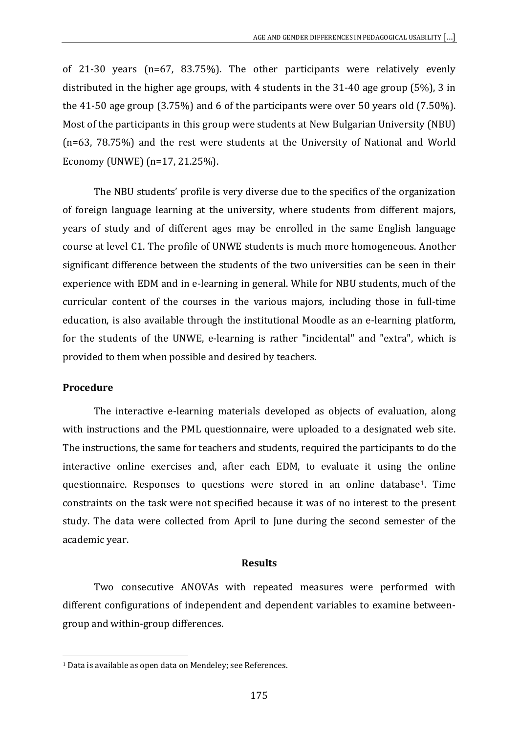of 21-30 years (n=67, 83.75%). The other participants were relatively evenly distributed in the higher age groups, with 4 students in the 31-40 age group (5%), 3 in the 41-50 age group (3.75%) and 6 of the participants were over 50 years old (7.50%). Most of the participants in this group were students at New Bulgarian University (NBU) (n=63, 78.75%) and the rest were students at the University of National and World Economy (UNWE) (n=17, 21.25%).

The NBU students' profile is very diverse due to the specifics of the organization of foreign language learning at the university, where students from different majors, years of study and of different ages may be enrolled in the same English language course at level C1. The profile of UNWE students is much more homogeneous. Another significant difference between the students of the two universities can be seen in their experience with EDM and in e-learning in general. While for NBU students, much of the curricular content of the courses in the various majors, including those in full-time education, is also available through the institutional Moodle as an e-learning platform, for the students of the UNWE, e-learning is rather "incidental" and "extra", which is provided to them when possible and desired by teachers.

#### **Procedure**

-

The interactive e-learning materials developed as objects of evaluation, along with instructions and the PML questionnaire, were uploaded to a designated web site. The instructions, the same for teachers and students, required the participants to do the interactive online exercises and, after each EDM, to evaluate it using the online questionnaire. Responses to questions were stored in an online database[1.](#page-6-0) Time constraints on the task were not specified because it was of no interest to the present study. The data were collected from April to June during the second semester of the academic year.

#### **Results**

Two consecutive ANOVAs with repeated measures were performed with different configurations of independent and dependent variables to examine betweengroup and within-group differences.

<span id="page-6-0"></span><sup>&</sup>lt;sup>1</sup> Data is available as open data on Mendeley; see References.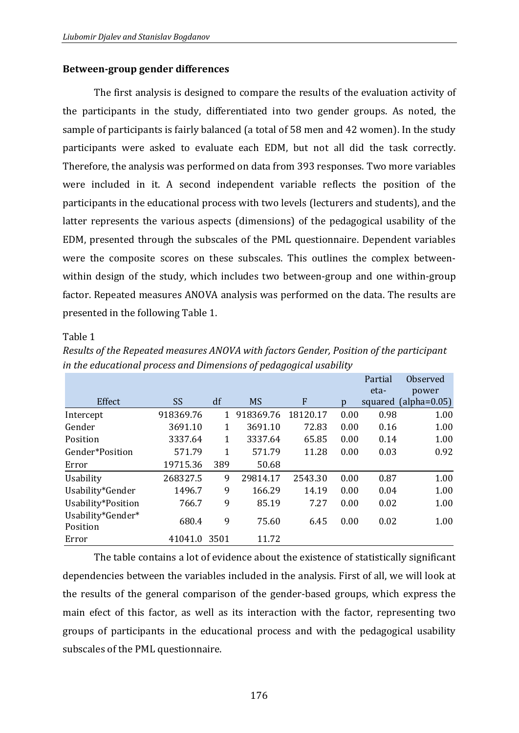# **Between-group gender differences**

The first analysis is designed to compare the results of the evaluation activity of the participants in the study, differentiated into two gender groups. As noted, the sample of participants is fairly balanced (a total of 58 men and 42 women). In the study participants were asked to evaluate each EDM, but not all did the task correctly. Therefore, the analysis was performed on data from 393 responses. Two more variables were included in it. A second independent variable reflects the position of the participants in the educational process with two levels (lecturers and students), and the latter represents the various aspects (dimensions) of the pedagogical usability of the EDM, presented through the subscales of the PML questionnaire. Dependent variables were the composite scores on these subscales. This outlines the complex betweenwithin design of the study, which includes two between-group and one within-group factor. Repeated measures ANOVA analysis was performed on the data. The results are presented in the following Table 1.

### Table 1

|                               |           |              |           |                  |      | Partial | Observed       |
|-------------------------------|-----------|--------------|-----------|------------------|------|---------|----------------|
|                               |           |              |           |                  |      | eta-    | power          |
| Effect                        | <b>SS</b> | df           | <b>MS</b> | $\boldsymbol{F}$ | p    | squared | $(alpha=0.05)$ |
| Intercept                     | 918369.76 | $\mathbf{1}$ | 918369.76 | 18120.17         | 0.00 | 0.98    | 1.00           |
| Gender                        | 3691.10   | 1            | 3691.10   | 72.83            | 0.00 | 0.16    | 1.00           |
| Position                      | 3337.64   | 1            | 3337.64   | 65.85            | 0.00 | 0.14    | 1.00           |
| Gender*Position               | 571.79    | $\mathbf{1}$ | 571.79    | 11.28            | 0.00 | 0.03    | 0.92           |
| Error                         | 19715.36  | 389          | 50.68     |                  |      |         |                |
| Usability                     | 268327.5  | 9            | 29814.17  | 2543.30          | 0.00 | 0.87    | 1.00           |
| Usability*Gender              | 1496.7    | 9            | 166.29    | 14.19            | 0.00 | 0.04    | 1.00           |
| Usability*Position            | 766.7     | 9            | 85.19     | 7.27             | 0.00 | 0.02    | 1.00           |
| Usability*Gender*<br>Position | 680.4     | 9            | 75.60     | 6.45             | 0.00 | 0.02    | 1.00           |
| Error                         | 41041.0   | 3501         | 11.72     |                  |      |         |                |

*Results of the Repeated measures ANOVA with factors Gender, Position of the participant in the educational process and Dimensions of pedagogical usability*

The table contains a lot of evidence about the existence of statistically significant dependencies between the variables included in the analysis. First of all, we will look at the results of the general comparison of the gender-based groups, which express the main efect of this factor, as well as its interaction with the factor, representing two groups of participants in the educational process and with the pedagogical usability subscales of the PML questionnaire.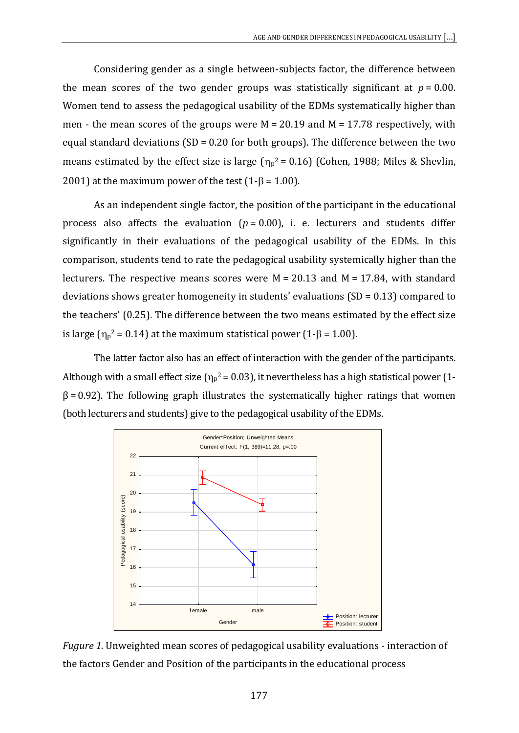Considering gender as a single between-subjects factor, the difference between the mean scores of the two gender groups was statistically significant at  $p = 0.00$ . Women tend to assess the pedagogical usability of the EDMs systematically higher than men - the mean scores of the groups were  $M = 20.19$  and  $M = 17.78$  respectively, with equal standard deviations (SD =  $0.20$  for both groups). The difference between the two means estimated by the effect size is large  $(\eta_p^2 = 0.16)$  (Cohen, 1988; Miles & Shevlin, 2001) at the maximum power of the test  $(1-8 = 1.00)$ .

As an independent single factor, the position of the participant in the educational process also affects the evaluation  $(p = 0.00)$ , i. e. lecturers and students differ significantly in their evaluations of the pedagogical usability of the EDMs. In this comparison, students tend to rate the pedagogical usability systemically higher than the lecturers. The respective means scores were  $M = 20.13$  and  $M = 17.84$ , with standard deviations shows greater homogeneity in students' evaluations (SD = 0.13) compared to the teachers' (0.25). The difference between the two means estimated by the effect size is large ( $η<sub>p</sub><sup>2</sup> = 0.14$ ) at the maximum statistical power (1-β = 1.00).

Thе latter factor also has an effect of interaction with the gender of the participants. Although with a small effect size ( $\eta_p^2$  = 0.03), it nevertheless has a high statistical power (1- $\beta$  = 0.92). The following graph illustrates the systematically higher ratings that women (both lecturers and students) give to the pedagogical usability of the EDMs.



*Fugure 1.* Unweighted mean scores of pedagogical usability evaluations - interaction of the factors Gender and Position of the participants in the educational process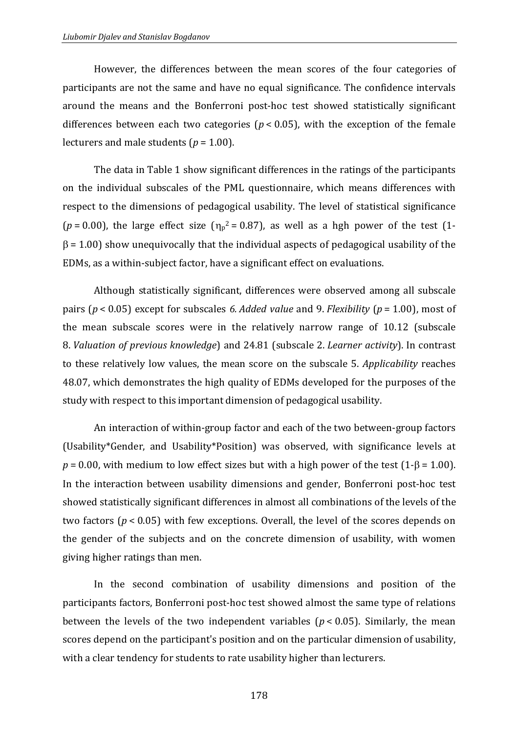However, the differences between the mean scores of the four categories of participants are not the same and have no equal significance. The confidence intervals around the means and the Bonferroni post-hoc test showed statistically significant differences between each two categories ( $p < 0.05$ ), with the exception of the female lecturers and male students ( $p = 1.00$ ).

The data in Table 1 show significant differences in the ratings of the participants on the individual subscales of the PML questionnaire, which means differences with respect to the dimensions of pedagogical usability. The level of statistical significance ( $p = 0.00$ ), the large effect size ( $\eta_p^2 = 0.87$ ), as well as a hgh power of the test (1- $\beta$  = 1.00) show unequivocally that the individual aspects of pedagogical usability of the EDMs, as a within-subject factor, have a significant effect on evaluations.

Although statistically significant, differences were observed among all subscale pairs (*p* < 0.05) except for subscales *6. Added value* and 9. *Flexibility* (*p* = 1.00), most of the mean subscale scores were in the relatively narrow range of 10.12 (subscale 8. *Valuation of previous knowledge*) and 24.81 (subscale 2. *Learner activity*). In contrast to these relatively low values, the mean score on the subscale 5. *Applicability* reaches 48.07, which demonstrates the high quality of EDMs developed for the purposes of the study with respect to this important dimension of pedagogical usability.

An interaction of within-group factor and each of the two between-group factors (Usability\*Gender, and Usability\*Position) was observed, with significance levels at  $p = 0.00$ , with medium to low effect sizes but with a high power of the test (1- $\beta$  = 1.00). In the interaction between usability dimensions and gender, Bonferroni post-hoc test showed statistically significant differences in almost all combinations of the levels of the two factors (*p* < 0.05) with few exceptions. Overall, the level of the scores depends on the gender of the subjects and on the concrete dimension of usability, with women giving higher ratings than men.

In the second combination of usability dimensions and position of the participants factors, Bonferroni post-hoc test showed almost the same type of relations between the levels of the two independent variables ( $p < 0.05$ ). Similarly, the mean scores depend on the participant's position and on the particular dimension of usability, with a clear tendency for students to rate usability higher than lecturers.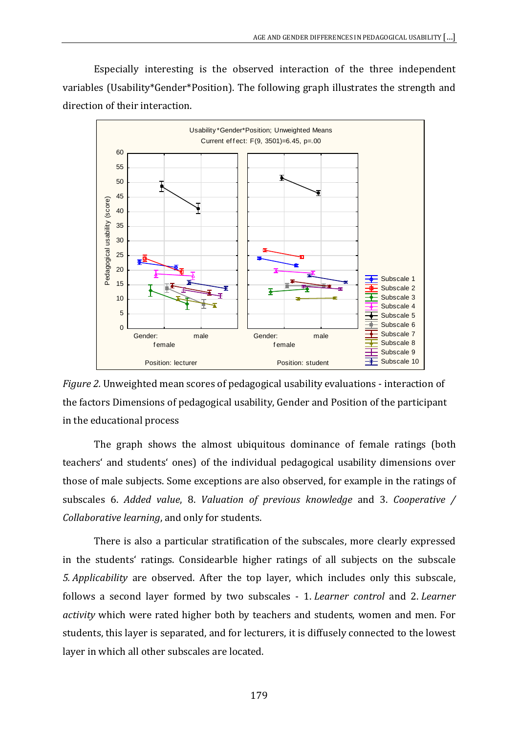Especially interesting is the observed interaction of the three independent variables (Usability\*Gender\*Position). The following graph illustrates the strength and direction of their interaction.





The graph shows the almost ubiquitous dominance of female ratings (both teachers' and students' ones) of the individual pedagogical usability dimensions over those of male subjects. Some exceptions are also observed, for example in the ratings of subscales 6. *Added value*, 8. *Valuation of previous knowledge* and 3. *Cooperative / Collaborative learning*, and only for students.

There is also a particular stratification of the subscales, more clearly expressed in the students' ratings. Considearble higher ratings of all subjects on the subscale *5. Applicability* are observed. After the top layer, which includes only this subscale, follows a second layer formed by two subscales - 1. *Learner control* and 2. *Learner activity* which were rated higher both by teachers and students, women and men. For students, this layer is separated, and for lecturers, it is diffusely connected to the lowest layer in which all other subscales are located.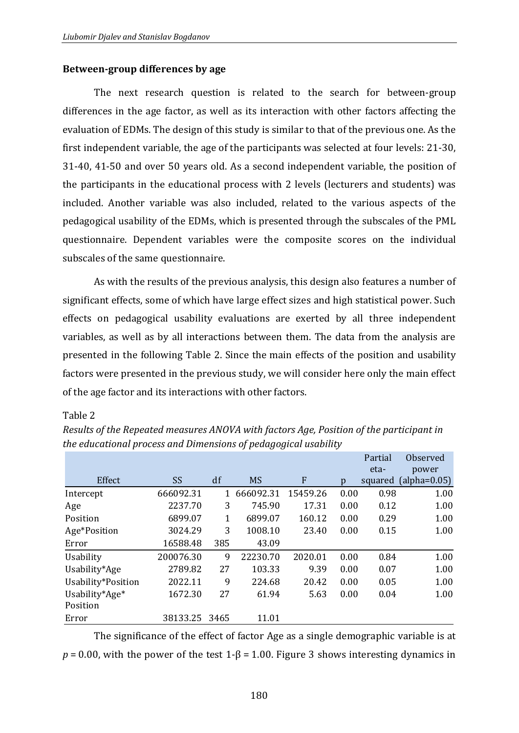# **Between-group differences by age**

The next research question is related to the search for between-group differences in the age factor, as well as its interaction with other factors affecting the evaluation of EDMs. The design of this study is similar to that of the previous one. As the first independent variable, the age of the participants was selected at four levels: 21-30, 31-40, 41-50 and over 50 years old. As a second independent variable, the position of the participants in the educational process with 2 levels (lecturers and students) was included. Another variable was also included, related to the various aspects of the pedagogical usability of the EDMs, which is presented through the subscales of the PML questionnaire. Dependent variables were the composite scores on the individual subscales of the same questionnaire.

As with the results of the previous analysis, this design also features a number of significant effects, some of which have large effect sizes and high statistical power. Such effects on pedagogical usability evaluations are exerted by all three independent variables, as well as by all interactions between them. The data from the analysis are presented in the following Table 2. Since the main effects of the position and usability factors were presented in the previous study, we will consider here only the main effect of the age factor and its interactions with other factors.

### Table 2

|                    |           |      |           |          |      | Partial<br>eta- | Observed<br>power |
|--------------------|-----------|------|-----------|----------|------|-----------------|-------------------|
| Effect             | <b>SS</b> | df   | <b>MS</b> | F        | p    | squared         | $(alpha=0.05)$    |
| Intercept          | 666092.31 |      | 666092.31 | 15459.26 | 0.00 | 0.98            | 1.00              |
| Age                | 2237.70   | 3    | 745.90    | 17.31    | 0.00 | 0.12            | 1.00              |
| Position           | 6899.07   | 1    | 6899.07   | 160.12   | 0.00 | 0.29            | 1.00              |
| Age*Position       | 3024.29   | 3    | 1008.10   | 23.40    | 0.00 | 0.15            | 1.00              |
| Error              | 16588.48  | 385  | 43.09     |          |      |                 |                   |
| Usability          | 200076.30 | 9    | 22230.70  | 2020.01  | 0.00 | 0.84            | 1.00              |
| Usability*Age      | 2789.82   | 27   | 103.33    | 9.39     | 0.00 | 0.07            | 1.00              |
| Usability*Position | 2022.11   | 9    | 224.68    | 20.42    | 0.00 | 0.05            | 1.00              |
| Usability*Age*     | 1672.30   | 27   | 61.94     | 5.63     | 0.00 | 0.04            | 1.00              |
| Position           |           |      |           |          |      |                 |                   |
| Error              | 38133.25  | 3465 | 11.01     |          |      |                 |                   |

*Results of the Repeated measures ANOVA with factors Age, Position of the participant in the educational process and Dimensions of pedagogical usability*

The significance of the effect of factor Age as a single demographic variable is at  $p = 0.00$ , with the power of the test 1- $\beta = 1.00$ . Figure 3 shows interesting dynamics in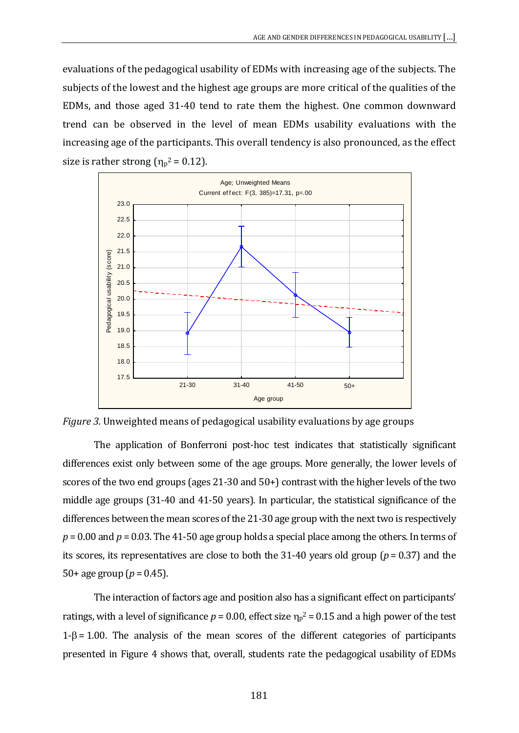evaluations of the pedagogical usability of EDMs with increasing age of the subjects. The subjects of the lowest and the highest age groups are more critical of the qualities of the EDMs, and those aged 31-40 tend to rate them the highest. One common downward trend can be observed in the level of mean EDMs usability evaluations with the increasing age of the participants. This overall tendency is also pronounced, as the effect size is rather strong  $(\eta_p^2 = 0.12)$ .



*Figure 3.* Unweighted means of pedagogical usability evaluations by age groups

The application of Bonferroni post-hoc test indicates that statistically significant differences exist only between some of the age groups. More generally, the lower levels of scores of the two end groups (ages 21-30 and 50+) contrast with the higher levels of the two middle age groups (31-40 and 41-50 years). In particular, the statistical significance of the differences between the mean scores of the 21-30 age group with the next two is respectively *p* = 0.00 and *p* = 0.03. The 41-50 age group holds a special place among the others. In terms of its scores, its representatives are close to both the 31-40 years old group (*p* = 0.37) and the 50+ age group ( $p = 0.45$ ).

The interaction of factors age and position also has a significant effect on participants' ratings, with a level of significance  $p = 0.00$ , effect size  $\eta_p^2 = 0.15$  and a high power of the test  $1-\beta = 1.00$ . The analysis of the mean scores of the different categories of participants presented in Figure 4 shows that, overall, students rate the pedagogical usability of EDMs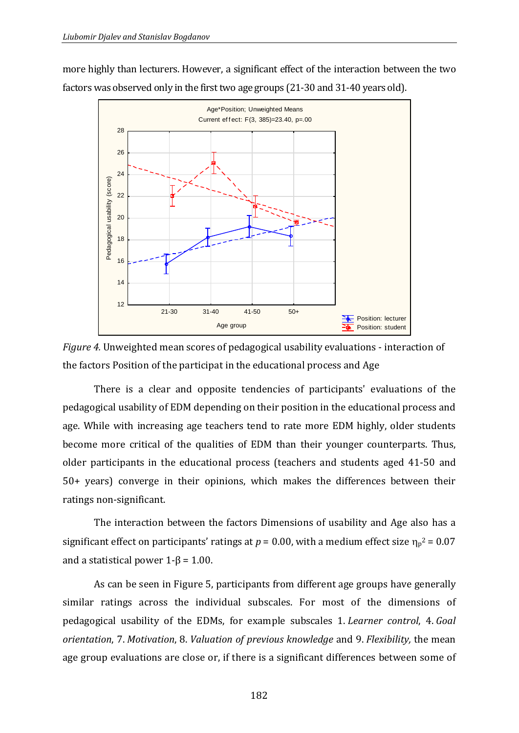more highly than lecturers. However, a significant effect of the interaction between the two factors was observed only in the first two age groups (21-30 and 31-40 years old).





There is a clear and opposite tendencies of participants' evaluations of the pedagogical usability of EDM depending on their position in the educational process and age. While with increasing age teachers tend to rate more EDM highly, older students become more critical of the qualities of EDM than their younger counterparts. Тhus, older participants in the educational process (teachers and students aged 41-50 and 50+ years) converge in their opinions, which makes the differences between their ratings non-significant.

The interaction between the factors Dimensions of usability and Age also has a significant effect on participants' ratings at  $p = 0.00$ , with a medium effect size  $\eta_p^2 = 0.07$ and a statistical power  $1-\beta = 1.00$ .

As can be seen in Figure 5, participants from different age groups have generally similar ratings across the individual subscales. For most of the dimensions of pedagogical usability of the EDMs, for example subscales 1. *Learner control*, 4. *Goal orientation*, 7. *Motivation*, 8. *Valuation of previous knowledge* and 9. *Flexibility,* the mean age group evaluations are close or, if there is a significant differences between some of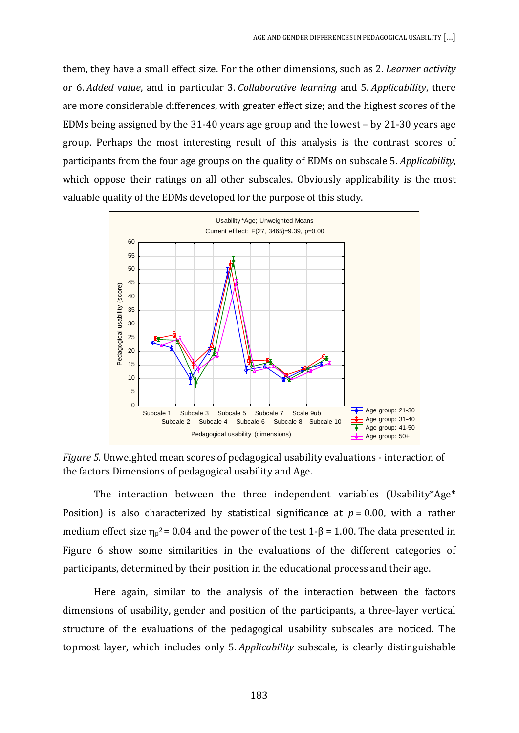them, they have a small effect size. For the other dimensions, such as 2. *Learner activity* or 6. *Added value*, and in particular 3. *Collaborative learning* and 5. *Applicability*, there are more considerable differences, with greater effect size; and the highest scores of the EDMs being assigned by the 31-40 years age group and the lowest – by 21-30 years age group. Perhaps the most interesting result of this analysis is the contrast scores of participants from the four age groups on the quality of EDMs on subscale 5. *Applicability*, which oppose their ratings on all other subscales. Obviously applicability is the most valuable quality of the EDMs developed for the purpose of this study.



*Figure 5.* Unweighted mean scores of pedagogical usability evaluations - interaction of the factors Dimensions of pedagogical usability and Age.

The interaction between the three independent variables (Usability\*Age\* Position) is also characterized by statistical significance at  $p = 0.00$ , with a rather medium effect size  $\eta_p^2 = 0.04$  and the power of the test 1- $\beta = 1.00$ . The data presented in Figure 6 show some similarities in the evaluations of the different categories of participants, determined by their position in the educational process and their age.

Here again, similar to the analysis of the interaction between the factors dimensions of usability, gender and position of the participants, a three-layer vertical structure of the evaluations of the pedagogical usability subscales are noticed. The topmost layer, which includes only 5. *Applicability* subscale*,* is clearly distinguishable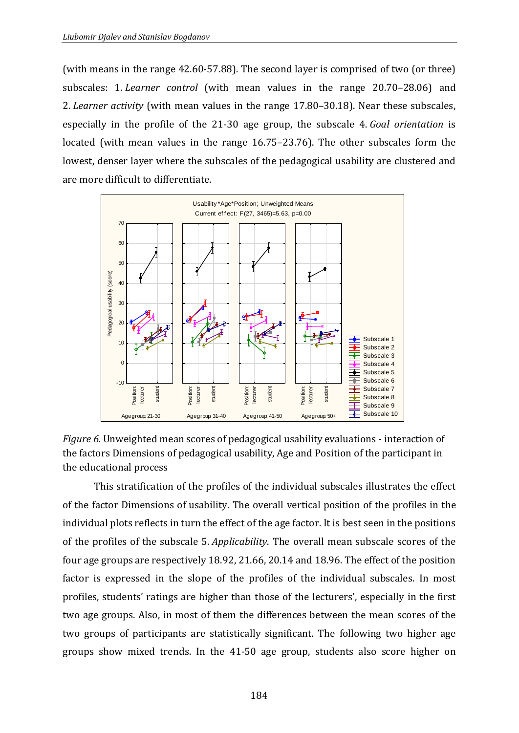(with means in the range 42.60-57.88). The second layer is comprised of two (or three) subscales: 1. *Learner control* (with mean values in the range 20.70–28.06) and 2. *Learner activity* (with mean values in the range 17.80–30.18). Near these subscales, especially in the profile of the 21-30 age group, the subscale 4. *Goal orientation* is located (with mean values in the range 16.75–23.76). The other subscales form the lowest, denser layer where the subscales of the pedagogical usability are clustered and are more difficult to differentiate.



*Figure 6.* Unweighted mean scores of pedagogical usability evaluations - interaction of the factors Dimensions of pedagogical usability, Age and Position of the participant in the educational process

This stratification of the profiles of the individual subscales illustrates the effect of the factor Dimensions of usability. The overall vertical position of the profiles in the individual plots reflects in turn the effect of the age factor. It is best seen in the positions of the profiles of the subscale 5. *Applicability*. The overall mean subscale scores of the four age groups are respectively 18.92, 21.66, 20.14 and 18.96. The effect of the position factor is expressed in the slope of the profiles of the individual subscales. In most profiles, students' ratings are higher than those of the lecturers', especially in the first two age groups. Also, in most of them the differences between the mean scores of the two groups of participants are statistically significant. The following two higher age groups show mixed trends. In the 41-50 age group, students also score higher on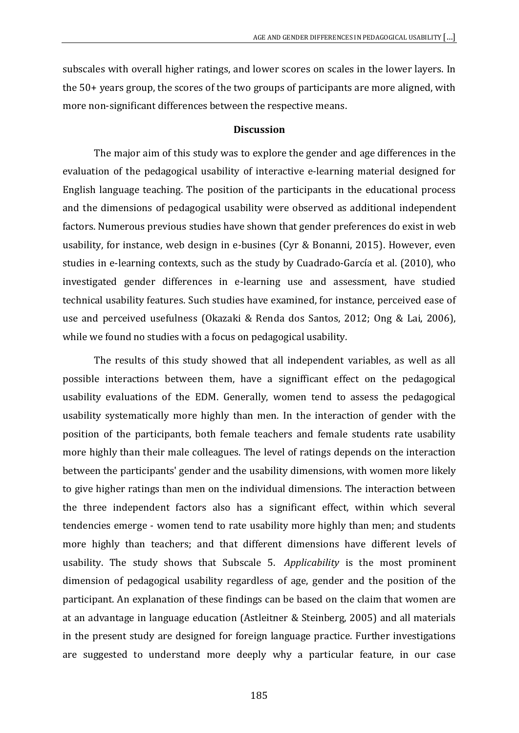subscales with overall higher ratings, and lower scores on scales in the lower layers. In the 50+ years group, the scores of the two groups of participants are more aligned, with more non-significant differences between the respective means.

### **Discussion**

The major aim of this study was to explore the gender and age differences in the evaluation of the pedagogical usability of interactive e-learning material designed for English language teaching. The position of the participants in the educational process and the dimensions of pedagogical usability were observed as additional independent factors. Numerous previous studies have shown that gender preferences do exist in web usability, for instance, web design in e-busines (Cyr & Bonanni, 2015). However, even studies in e-learning contexts, such as the study by Cuadrado-García et al. (2010), who investigated gender differences in e-learning use and assessment, have studied technical usability features. Such studies have examined, for instance, perceived ease of use and perceived usefulness (Okazaki & Renda dos Santos, 2012; Ong & Lai, 2006), while we found no studies with a focus on pedagogical usability.

The results of this study showed that all independent variables, as well as all possible interactions between them, have a signifficant effect on the pedagogical usability evaluations of the EDM. Generally, women tend to assess the pedagogical usability systematically more highly than men. In the interaction of gender with the position of the participants, both female teachers and female students rate usability more highly than their male colleagues. Тhe level of ratings depends on the interaction between the participants' gender and the usability dimensions, with women more likely to give higher ratings than men on the individual dimensions. The interaction between the three independent factors also has a significant effect, within which several tendencies emerge - women tend to rate usability more highly than men; and students more highly than teachers; and that different dimensions have different levels of usability. The study shows that Subscale 5. *Applicability* is the most prominent dimension of pedagogical usability regardless of age, gender and the position of the participant. An explanation of these findings can be based on the claim that women are at an advantage in language education (Astleitner & Steinberg, 2005) and all materials in the present study are designed for foreign language practice. Further investigations are suggested to understand more deeply why a particular feature, in our case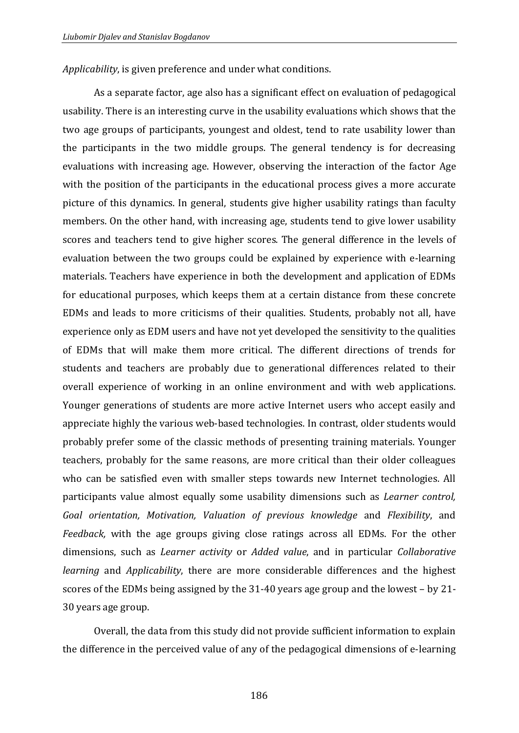*Applicability*, is given preference and under what conditions.

As a separate factor, age also has a significant effect on evaluation of pedagogical usability. There is an interesting curve in the usability evaluations which shows that the two age groups of participants, youngest and oldest, tend to rate usability lower than the participants in the two middle groups. The general tendency is for decreasing evaluations with increasing age. However, observing the interaction of the factor Age with the position of the participants in the educational process gives a more accurate picture of this dynamics. In general, students give higher usability ratings than faculty members. Оn the other hand, with increasing age, students tend to give lower usability scores and teachers tend to give higher scores. Тhe general difference in the levels of evaluation between the two groups could be explained by experience with e-learning materials. Teachers have experience in both the development and application of EDMs for educational purposes, which keeps them at a certain distance from these concrete EDMs and leads to more criticisms of their qualities. Students, probably not all, have experience only as EDM users and have not yet developed the sensitivity to the qualities of EDMs that will make them more critical. Тhe different directions of trends for students and teachers are probably due to generational differences related to their overall experience of working in an online environment and with web applications. Younger generations of students are more active Internet users who accept easily and appreciate highly the various web-based technologies. In contrast, older students would probably prefer some of the classic methods of presenting training materials. Younger teachers, probably for the same reasons, are more critical than their older colleagues who can be satisfied even with smaller steps towards new Internet technologies. All participants value almost equally some usability dimensions such as *Learner control, Goal orientation, Motivation, Valuation of previous knowledge* and *Flexibility*, and *Feedback,* with the age groups giving close ratings across all EDMs. For the other dimensions, such as *Learner activity* or *Added value*, and in particular *Collaborative learning* and *Applicability*, there are more considerable differences and the highest scores of the EDMs being assigned by the 31-40 years age group and the lowest – by 21- 30 years age group.

Overall, the data from this study did not provide sufficient information to explain the difference in the perceived value of any of the pedagogical dimensions of e-learning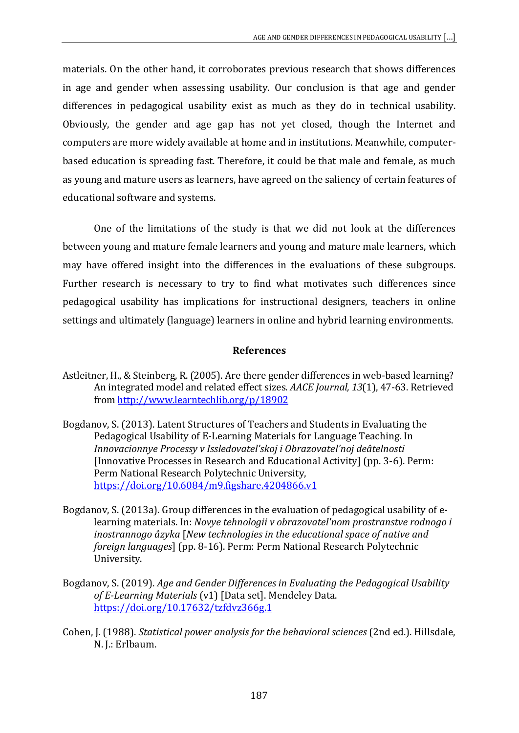materials. Оn the other hand, it corroborates previous research that shows differences in age and gender when assessing usability. Our conclusion is that age and gender differences in pedagogical usability exist as much as they do in technical usability. Obviously, the gender and age gap has not yet closed, though the Internet and computers are more widely available at home and in institutions. Meanwhile, computerbased education is spreading fast. Therefore, it could be that male and female, as much as young and mature users as learners, have agreed on the saliency of certain features of educational software and systems.

One of the limitations of the study is that we did not look at the differences between young and mature female learners and young and mature male learners, which may have offered insight into the differences in the evaluations of these subgroups. Further research is necessary to try to find what motivates such differences since pedagogical usability has implications for instructional designers, teachers in online settings and ultimately (language) learners in online and hybrid learning environments.

# **References**

- Astleitner, H., & Steinberg, R. (2005). Are there gender differences in web-based learning? An integrated model and related effect sizes. *AACE Journal, 13*(1), 47-63. Retrieved from [http://www.learntechlib.org/p/18902](http://www.learntechlib.org/p/18902/)
- Bogdanov, S. (2013). Latent Structures of Teachers and Students in Evaluating the Pedagogical Usability of E-Learning Materials for Language Teaching. In *Innovacionnye Processy v Issledovatel'skoj i Obrazovatel'noj deâtelnosti* [Innovative Processes in Research and Educational Activity] (pp. 3-6). Perm: Perm National Research Polytechnic University, <https://doi.org/10.6084/m9.figshare.4204866.v1>
- Bogdanov, S. (2013a). Group differences in the evaluation of pedagogical usability of elearning materials. In: *Novye tehnologii v obrazovatelʹnom prostranstve rodnogo i inostrannogo âzyka* [*New technologies in the educational space of native and foreign languages*] (pp. 8-16). Perm: Perm National Research Polytechnic University.
- Bogdanov, S. (2019). *Age and Gender Differences in Evaluating the Pedagogical Usability of E-Learning Materials* (v1) [Data set]. Mendeley Data. <https://doi.org/10.17632/tzfdvz366g.1>
- Cohen, J. (1988). *Statistical power analysis for the behavioral sciences* (2nd ed.). Hillsdale, N. J.: Erlbaum.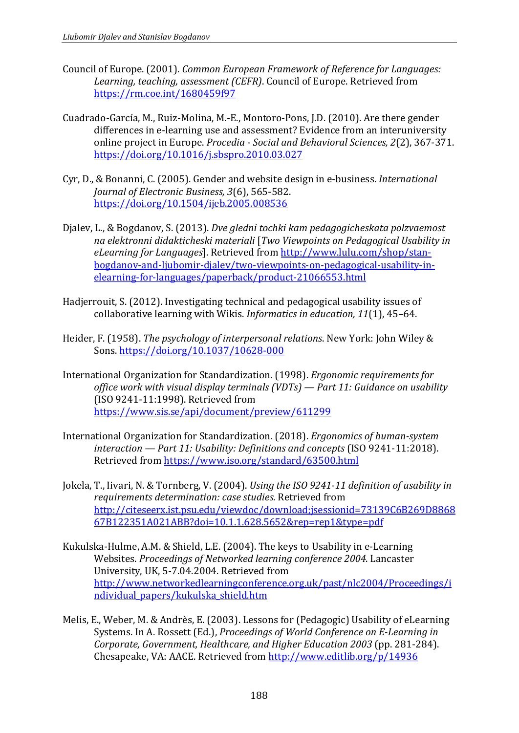- Council of Europe. (2001). *Common European Framework of Reference for Languages: Learning, teaching, assessment (CEFR)*. Council of Europe. Retrieved from <https://rm.coe.int/1680459f97>
- Cuadrado-García, M., Ruiz-Molina, M.-E., Montoro-Pons, J.D. (2010). Are there gender differences in e-learning use and assessment? Evidence from an interuniversity online project in Europe. *Procedia - Social and Behavioral Sciences, 2*(2), 367-371. <https://doi.org/10.1016/j.sbspro.2010.03.027>
- Cyr, D., & Bonanni, C. (2005). Gender and website design in e-business. *International Journal of Electronic Business, 3*(6), 565-582. <https://doi.org/10.1504/ijeb.2005.008536>
- Djalev, L., & Bogdanov, S. (2013). *Dve gledni tochki kam pedagogicheskata polzvaemost na elektronni didakticheski materiali* [*Two Viewpoints on Pedagogical Usability in eLearning for Languages*]. Retrieved from [http://www.lulu.com/shop/stan](http://www.lulu.com/shop/stan-bogdanov-and-ljubomir-djalev/two-viewpoints-on-pedagogical-usability-in-elearning-for-languages/paperback/product-21066553.html)[bogdanov-and-ljubomir-djalev/two-viewpoints-on-pedagogical-usability-in](http://www.lulu.com/shop/stan-bogdanov-and-ljubomir-djalev/two-viewpoints-on-pedagogical-usability-in-elearning-for-languages/paperback/product-21066553.html)[elearning-for-languages/paperback/product-21066553.html](http://www.lulu.com/shop/stan-bogdanov-and-ljubomir-djalev/two-viewpoints-on-pedagogical-usability-in-elearning-for-languages/paperback/product-21066553.html)
- Hadjerrouit, S. (2012). Investigating technical and pedagogical usability issues of collaborative learning with Wikis. *Informatics in education, 11*(1), 45–64.
- Heider, F. (1958). *The psychology of interpersonal relations*. New York: John Wiley & Sons.<https://doi.org/10.1037/10628-000>
- International Organization for Standardization. (1998). *Ergonomic requirements for office work with visual display terminals (VDTs) — Part 11: Guidance on usability* (ISO 9241-11:1998). Retrieved from <https://www.sis.se/api/document/preview/611299>
- International Organization for Standardization. (2018). *Ergonomics of human-system interaction — Part 11: Usability: Definitions and concepts* (ISO 9241-11:2018). Retrieved from<https://www.iso.org/standard/63500.html>
- Jokela, T., Iivari, N. & Tornberg, V. (2004). *Using the ISO 9241-11 definition of usability in requirements determination: case studies*. Retrieved from [http://citeseerx.ist.psu.edu/viewdoc/download;jsessionid=73139C6B269D8868](http://citeseerx.ist.psu.edu/viewdoc/download;jsessionid=73139C6B269D886867B122351A021ABB?doi=10.1.1.628.5652&rep=rep1&type=pdf) [67B122351A021ABB?doi=10.1.1.628.5652&rep=rep1&type=pdf](http://citeseerx.ist.psu.edu/viewdoc/download;jsessionid=73139C6B269D886867B122351A021ABB?doi=10.1.1.628.5652&rep=rep1&type=pdf)
- Kukulska-Hulme, A.M. & Shield, L.E. (2004). The keys to Usability in e-Learning Websites. *Proceedings of Networked learning conference 2004*. Lancaster University, UK, 5-7.04.2004. Retrieved from [http://www.networkedlearningconference.org.uk/past/nlc2004/Proceedings/i](http://www.networkedlearningconference.org.uk/past/nlc2004/Proceedings/individual_papers/kukulska_shield.htm) [ndividual\\_papers/kukulska\\_shield.htm](http://www.networkedlearningconference.org.uk/past/nlc2004/Proceedings/individual_papers/kukulska_shield.htm)
- Melis, E., Weber, M. & Andrès, E. (2003). Lessons for (Pedagogic) Usability of eLearning Systems. In A. Rossett (Ed.), *Proceedings of World Conference on E-Learning in Corporate, Government, Healthcare, and Higher Education 2003* (pp. 281-284). Chesapeake, VA: AACE. Retrieved from<http://www.editlib.org/p/14936>